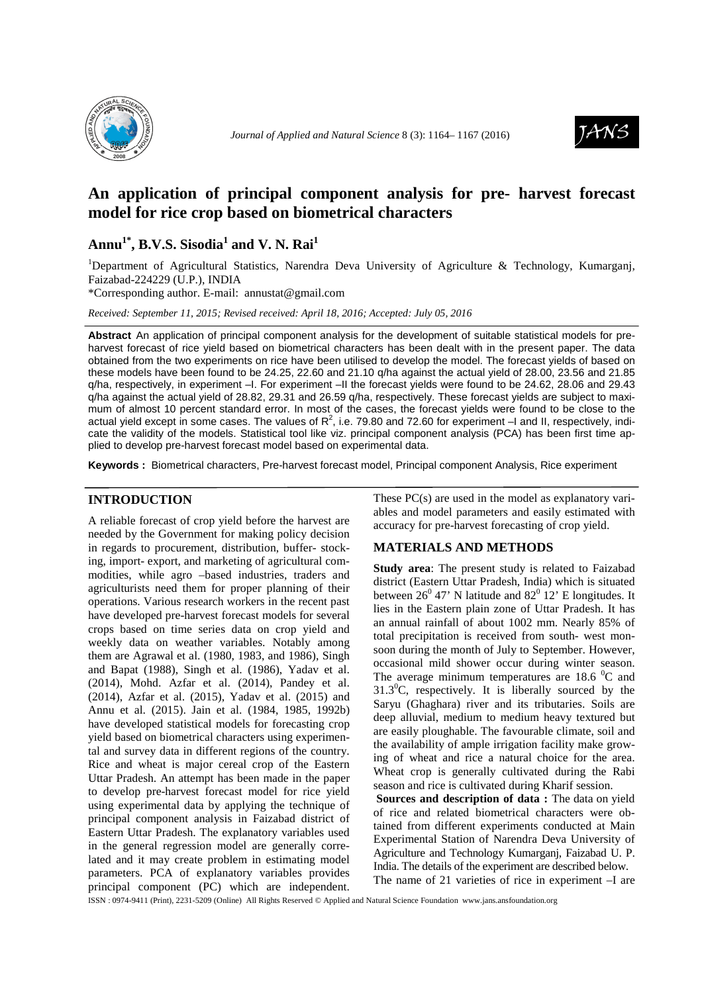



# **An application of principal component analysis for pre- harvest forecast model for rice crop based on biometrical characters**

## **Annu1\*, B.V.S. Sisodia<sup>1</sup> and V. N. Rai<sup>1</sup>**

<sup>1</sup>Department of Agricultural Statistics, Narendra Deva University of Agriculture & Technology, Kumargani, Faizabad-224229 (U.P.), INDIA

\*Corresponding author. E-mail: annustat@gmail.com

*Received: September 11, 2015; Revised received: April 18, 2016; Accepted: July 05, 2016*

**Abstract** An application of principal component analysis for the development of suitable statistical models for preharvest forecast of rice yield based on biometrical characters has been dealt with in the present paper. The data obtained from the two experiments on rice have been utilised to develop the model. The forecast yields of based on these models have been found to be 24.25, 22.60 and 21.10 q/ha against the actual yield of 28.00, 23.56 and 21.85 q/ha, respectively, in experiment –I. For experiment –II the forecast yields were found to be 24.62, 28.06 and 29.43 q/ha against the actual yield of 28.82, 29.31 and 26.59 q/ha, respectively. These forecast yields are subject to maximum of almost 10 percent standard error. In most of the cases, the forecast yields were found to be close to the actual yield except in some cases. The values of  $R^2$ , i.e. 79.80 and 72.60 for experiment  $-1$  and II, respectively, indicate the validity of the models. Statistical tool like viz. principal component analysis (PCA) has been first time applied to develop pre-harvest forecast model based on experimental data.

**Keywords :** Biometrical characters, Pre-harvest forecast model, Principal component Analysis, Rice experiment

### **INTRODUCTION**

A reliable forecast of crop yield before the harvest are needed by the Government for making policy decision in regards to procurement, distribution, buffer- stocking, import- export, and marketing of agricultural commodities, while agro –based industries, traders and agriculturists need them for proper planning of their operations. Various research workers in the recent past have developed pre-harvest forecast models for several crops based on time series data on crop yield and weekly data on weather variables. Notably among them are Agrawal et al. (1980, 1983, and 1986), Singh and Bapat (1988), Singh et al. (1986), Yadav et al. (2014), Mohd. Azfar et al. (2014), Pandey et al. (2014), Azfar et al. (2015), Yadav et al. (2015) and Annu et al. (2015). Jain et al. (1984, 1985, 1992b) have developed statistical models for forecasting crop yield based on biometrical characters using experimental and survey data in different regions of the country. Rice and wheat is major cereal crop of the Eastern Uttar Pradesh. An attempt has been made in the paper to develop pre-harvest forecast model for rice yield using experimental data by applying the technique of principal component analysis in Faizabad district of Eastern Uttar Pradesh. The explanatory variables used in the general regression model are generally correlated and it may create problem in estimating model parameters. PCA of explanatory variables provides principal component (PC) which are independent.

These PC(s) are used in the model as explanatory variables and model parameters and easily estimated with accuracy for pre-harvest forecasting of crop yield.

## **MATERIALS AND METHODS**

**Study area**: The present study is related to Faizabad district (Eastern Uttar Pradesh, India) which is situated between  $26^{\circ}$  47' N latitude and  $82^{\circ}$  12' E longitudes. It lies in the Eastern plain zone of Uttar Pradesh. It has an annual rainfall of about 1002 mm. Nearly 85% of total precipitation is received from south- west monsoon during the month of July to September. However, occasional mild shower occur during winter season. The average minimum temperatures are  $18.6 \text{ }^0\text{C}$  and  $31.3^{\circ}$ C, respectively. It is liberally sourced by the Saryu (Ghaghara) river and its tributaries. Soils are deep alluvial, medium to medium heavy textured but are easily ploughable. The favourable climate, soil and the availability of ample irrigation facility make growing of wheat and rice a natural choice for the area. Wheat crop is generally cultivated during the Rabi season and rice is cultivated during Kharif session.

 **Sources and description of data :** The data on yield of rice and related biometrical characters were obtained from different experiments conducted at Main Experimental Station of Narendra Deva University of Agriculture and Technology Kumarganj, Faizabad U. P. India. The details of the experiment are described below. The name of 21 varieties of rice in experiment –I are

ISSN : 0974-9411 (Print), 2231-5209 (Online) All Rights Reserved © Applied and Natural Science Foundation www.jans.ansfoundation.org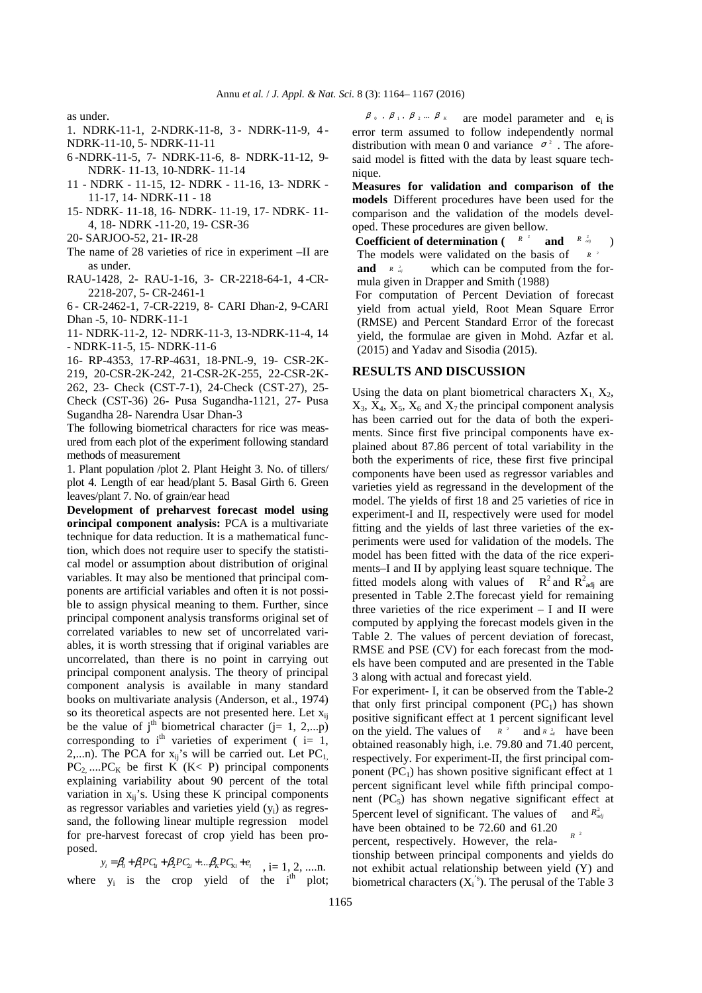as under.

- 1. NDRK-11-1, 2-NDRK-11-8, 3 NDRK-11-9, 4 NDRK-11-10, 5- NDRK-11-11
- 6 -NDRK-11-5, 7- NDRK-11-6, 8- NDRK-11-12, 9- NDRK- 11-13, 10-NDRK- 11-14
- 11 NDRK 11-15, 12- NDRK 11-16, 13- NDRK 11-17, 14- NDRK-11 - 18
- 15- NDRK- 11-18, 16- NDRK- 11-19, 17- NDRK- 11- 4, 18- NDRK -11-20, 19- CSR-36
- 20- SARJOO-52, 21- IR-28
- The name of 28 varieties of rice in experiment –II are as under.
- RAU-1428, 2- RAU-1-16, 3- CR-2218-64-1, 4 -CR-2218-207, 5- CR-2461-1
- 6 CR-2462-1, 7-CR-2219, 8- CARI Dhan-2, 9-CARI Dhan -5, 10- NDRK-11-1
- 11- NDRK-11-2, 12- NDRK-11-3, 13-NDRK-11-4, 14 - NDRK-11-5, 15- NDRK-11-6

16- RP-4353, 17-RP-4631, 18-PNL-9, 19- CSR-2K-

219, 20-CSR-2K-242, 21-CSR-2K-255, 22-CSR-2K-262, 23- Check (CST-7-1), 24-Check (CST-27), 25- Check (CST-36) 26- Pusa Sugandha-1121, 27- Pusa Sugandha 28- Narendra Usar Dhan-3

The following biometrical characters for rice was measured from each plot of the experiment following standard methods of measurement

1. Plant population /plot 2. Plant Height 3. No. of tillers/ plot 4. Length of ear head/plant 5. Basal Girth 6. Green leaves/plant 7. No. of grain/ear head

**Development of preharvest forecast model using orincipal component analysis:** PCA is a multivariate technique for data reduction. It is a mathematical function, which does not require user to specify the statistical model or assumption about distribution of original variables. It may also be mentioned that principal components are artificial variables and often it is not possible to assign physical meaning to them. Further, since principal component analysis transforms original set of correlated variables to new set of uncorrelated variables, it is worth stressing that if original variables are uncorrelated, than there is no point in carrying out principal component analysis. The theory of principal component analysis is available in many standard books on multivariate analysis (Anderson, et al., 1974) so its theoretical aspects are not presented here. Let  $x_{ij}$ be the value of  $j<sup>th</sup>$  biometrical character (j= 1, 2,...p) corresponding to i<sup>th</sup> varieties of experiment (  $i=1$ , 2,...n). The PCA for  $x_{ij}$ 's will be carried out. Let PC<sub>1</sub>,  $PC_2$ ,.... $PC_K$  be first K (K< P) principal components explaining variability about 90 percent of the total variation in  $x_{ij}$ 's. Using these K principal components as regressor variables and varieties yield (yi) as regressand, the following linear multiple regression model for pre-harvest forecast of crop yield has been proposed.

 $y_i = \beta_0 + \beta_1 P C_{1i} + \beta_2 P C_{2i} + ... \beta_k P C_{ki} + e_i, \quad i = 1, 2, ...$ n. where  $y_i$  is the crop yield of the i<sup>th</sup> plot;

 $\beta$ <sub>0</sub>,  $\beta$ <sub>1</sub>,  $\beta$ <sub>2</sub> ...  $\beta$ <sub>K</sub> are model parameter and e<sub>i</sub> is error term assumed to follow independently normal distribution with mean 0 and variance  $\sigma^2$ . The aforesaid model is fitted with the data by least square technique.

**Measures for validation and comparison of the models** Different procedures have been used for the comparison and the validation of the models developed. These procedures are given bellow.

**Coefficient of determination**  $\begin{pmatrix} R^{-2} & \text{and} & R^{-2} \\ R^{-2} & \text{and} & \end{pmatrix}$ The models were validated on the basis of  $R \begin{array}{cc} 2 \\ a_{ij} \end{array}$  $R^{-2}$ 

which can be computed from the formula given in Drapper and Smith (1988) 2 *R adj*

For computation of Percent Deviation of forecast yield from actual yield, Root Mean Square Error (RMSE) and Percent Standard Error of the forecast yield, the formulae are given in Mohd. Azfar et al. (2015) and Yadav and Sisodia (2015).

#### **RESULTS AND DISCUSSION**

Using the data on plant biometrical characters  $X_1, X_2, X_3$  $X_3$ ,  $X_4$ ,  $X_5$ ,  $X_6$  and  $X_7$  the principal component analysis has been carried out for the data of both the experiments. Since first five principal components have explained about 87.86 percent of total variability in the both the experiments of rice, these first five principal components have been used as regressor variables and varieties yield as regressand in the development of the model. The yields of first 18 and 25 varieties of rice in experiment-I and II, respectively were used for model fitting and the yields of last three varieties of the experiments were used for validation of the models. The model has been fitted with the data of the rice experiments–I and II by applying least square technique. The fitted models along with values of  $R^2$  and  $R^2_{\text{adj}}$  are presented in Table 2.The forecast yield for remaining three varieties of the rice experiment  $- I$  and  $II$  were computed by applying the forecast models given in the Table 2. The values of percent deviation of forecast, RMSE and PSE (CV) for each forecast from the models have been computed and are presented in the Table 3 along with actual and forecast yield.

For experiment- I, it can be observed from the Table-2 that only first principal component  $(PC_1)$  has shown positive significant effect at 1 percent significant level on the yield. The values of  $R^2$  and  $R^2$  *a* have been obtained reasonably high, i.e. 79.80 and 71.40 percent, respectively. For experiment-II, the first principal component  $(PC_1)$  has shown positive significant effect at 1 percent significant level while fifth principal component  $(PC_5)$  has shown negative significant effect at 5 percent level of significant. The values of have been obtained to be 72.60 and 61.20 percent, respectively. However, the relaand  $R^2_{adj}$  $R^2$ 

tionship between principal components and yields do not exhibit actual relationship between yield (Y) and biometrical characters  $(X_i^s)$ . The perusal of the Table 3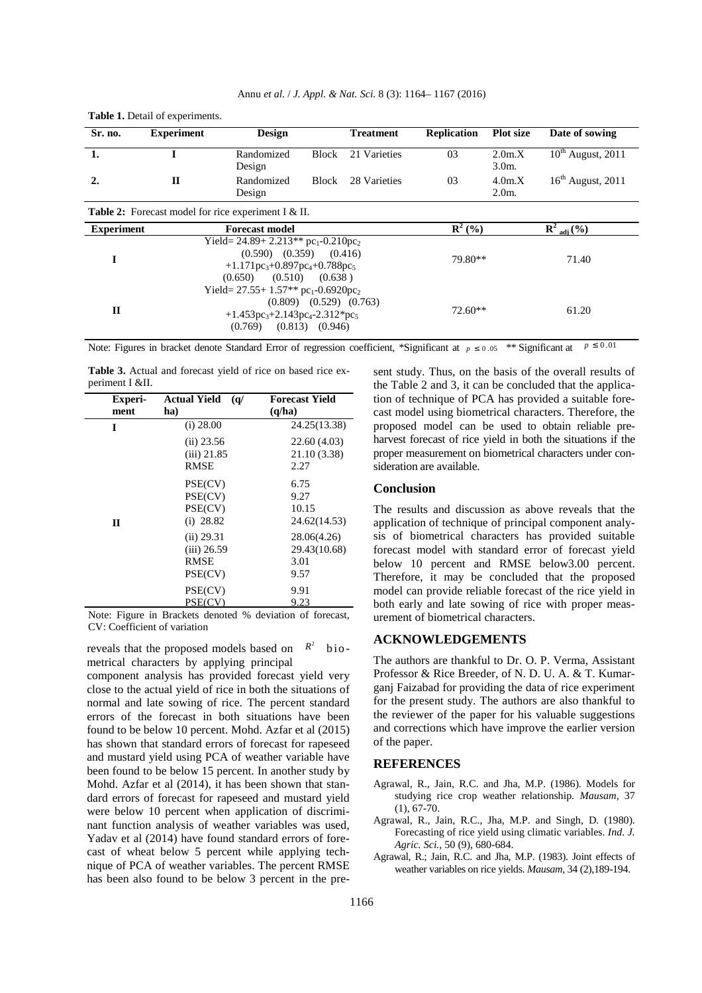| Sr. no.           | <b>Experiment</b> | <b>Design</b>                                                                                                                                                         |              | <b>Treatment</b> | Replication       | <b>Plot size</b>   | Date of sowing                |
|-------------------|-------------------|-----------------------------------------------------------------------------------------------------------------------------------------------------------------------|--------------|------------------|-------------------|--------------------|-------------------------------|
| 1.                |                   | Randomized<br>Design                                                                                                                                                  | <b>Block</b> | 21 Varieties     | 03                | 2.0m.X<br>$3.0m$ . | $10^{\text{th}}$ August, 2011 |
| 2.                | $\mathbf{I}$      | Randomized<br>Design                                                                                                                                                  | <b>Block</b> | 28 Varieties     | 03                | 4.0m.X<br>$2.0m$ . | $16th$ August, 2011           |
|                   |                   | <b>Table 2:</b> Forecast model for rice experiment I & II.                                                                                                            |              |                  |                   |                    |                               |
| <b>Experiment</b> |                   | <b>Forecast model</b>                                                                                                                                                 |              |                  | ${\bf R}^{2}$ (%) |                    | $R^2_{adi}$ (%)               |
| I                 |                   | Yield= $24.89 + 2.213**$ pc <sub>1</sub> -0.210pc <sub>2</sub><br>$(0.590)$ $(0.359)$ $(0.416)$<br>$+1.171pc_3+0.897pc_4+0.788pc_5$<br>$(0.510)$ $(0.638)$<br>(0.650) |              |                  | 79.80**           |                    | 71.40                         |
| $\mathbf{I}$      |                   | Yield= $27.55+1.57**$ pc <sub>1</sub> -0.6920pc <sub>2</sub><br>$(0.809)$ $(0.529)$ $(0.763)$<br>$+1.453pc_3+2.143pc_4-2.312*pc_5$<br>$(0.813)$ $(0.946)$<br>(0.769)  |              |                  |                   | $72.60**$          | 61.20                         |

Annu *et al.* / *J. Appl. & Nat. Sci.* 8 (3): 1164– 1167 (2016)

Note: Figures in bracket denote Standard Error of regression coefficient, \*Significant at  $p \le 0.05$  \*\* Significant at  $p \le 0.01$ 

**Table 3.** Actual and forecast yield of rice on based rice experiment I &II.

**Table 1.** Detail of experiments.

| <b>Experi-</b> | <b>Actual Yield</b><br>(q)                     | <b>Forecast Yield</b>                       |
|----------------|------------------------------------------------|---------------------------------------------|
| ment           | ha)                                            | (q/ha)                                      |
| I              | $(i)$ 28.00                                    | 24.25(13.38)                                |
|                | $(ii)$ 23.56<br>$(iii)$ 21.85<br><b>RMSE</b>   | 22.60 (4.03)<br>21.10 (3.38)<br>2.27        |
| $\mathbf{I}$   | PSE(CV)<br>PSE(CV)<br>PSE(CV)<br>$(i)$ 28.82   | 6.75<br>9.27<br>10.15<br>24.62(14.53)       |
|                | (ii) 29.31<br>$(iii)$ 26.59<br>RMSE<br>PSE(CV) | 28.06(4.26)<br>29.43(10.68)<br>3.01<br>9.57 |
|                | PSE(CV)<br>PSE(CV)                             | 9.91<br>9.23                                |

Note: Figure in Brackets denoted % deviation of forecast, CV: Coefficient of variation

reveals that the proposed models based on  $R^2$  biometrical characters by applying principal

component analysis has provided forecast yield very close to the actual yield of rice in both the situations of normal and late sowing of rice. The percent standard errors of the forecast in both situations have been found to be below 10 percent. Mohd. Azfar et al (2015) has shown that standard errors of forecast for rapeseed and mustard yield using PCA of weather variable have been found to be below 15 percent. In another study by Mohd. Azfar et al (2014), it has been shown that standard errors of forecast for rapeseed and mustard yield were below 10 percent when application of discriminant function analysis of weather variables was used, Yadav et al (2014) have found standard errors of forecast of wheat below 5 percent while applying technique of PCA of weather variables. The percent RMSE has been also found to be below 3 percent in the present study. Thus, on the basis of the overall results of the Table 2 and 3, it can be concluded that the application of technique of PCA has provided a suitable forecast model using biometrical characters. Therefore, the proposed model can be used to obtain reliable preharvest forecast of rice yield in both the situations if the proper measurement on biometrical characters under consideration are available.

#### **Conclusion**

The results and discussion as above reveals that the application of technique of principal component analysis of biometrical characters has provided suitable forecast model with standard error of forecast yield below 10 percent and RMSE below3.00 percent. Therefore, it may be concluded that the proposed model can provide reliable forecast of the rice yield in both early and late sowing of rice with proper measurement of biometrical characters.

#### **ACKNOWLEDGEMENTS**

The authors are thankful to Dr. O. P. Verma, Assistant Professor & Rice Breeder, of N. D. U. A. & T. Kumarganj Faizabad for providing the data of rice experiment for the present study. The authors are also thankful to the reviewer of the paper for his valuable suggestions and corrections which have improve the earlier version of the paper.

#### **REFERENCES**

- Agrawal, R., Jain, R.C. and Jha, M.P. (1986). Models for studying rice crop weather relationship. *Mausam,* 37  $(1), 67-70.$
- Agrawal, R., Jain, R.C., Jha, M.P. and Singh, D. (1980). Forecasting of rice yield using climatic variables. *Ind. J. Agric. Sci.,* 50 (9), 680-684.
- Agrawal, R.; Jain, R.C. and Jha, M.P. (1983). Joint effects of weather variables on rice yields. *Mausam,* 34 (2),189-194.